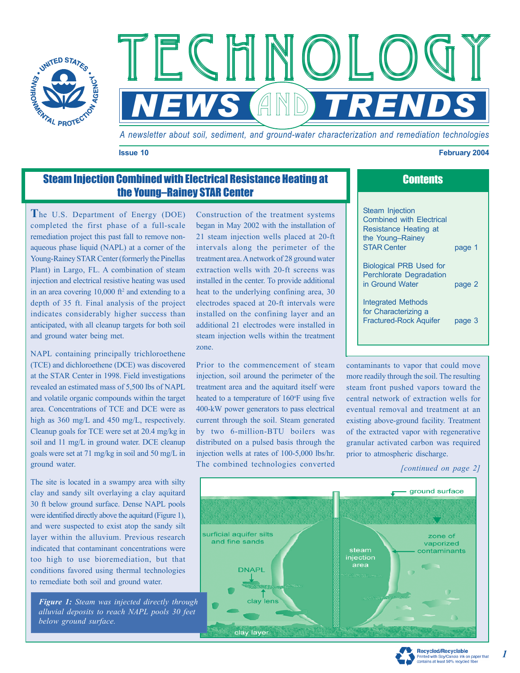

Technology Technology Technology **NEWS AND TRENDS** 

*A newsletter about soil, sediment, and ground-water characterization and remediation technologies*

#### **Issue 10 Issue 10 Issue 2004**

## **Steam Injection Combined with Electrical Resistance Heating at Contents Contents** the Young–Rainey STAR Center

**T**he U.S. Department of Energy (DOE) completed the first phase of a full-scale remediation project this past fall to remove nonaqueous phase liquid (NAPL) at a corner of the Young-Rainey STAR Center (formerly the Pinellas Plant) in Largo, FL. A combination of steam injection and electrical resistive heating was used in an area covering  $10,000$  ft<sup>2</sup> and extending to a depth of 35 ft. Final analysis of the project indicates considerably higher success than anticipated, with all cleanup targets for both soil and ground water being met.

NAPL containing principally trichloroethene (TCE) and dichloroethene (DCE) was discovered at the STAR Center in 1998. Field investigations revealed an estimated mass of 5,500 lbs of NAPL and volatile organic compounds within the target area. Concentrations of TCE and DCE were as high as 360 mg/L and 450 mg/L, respectively. Cleanup goals for TCE were set at 20.4 mg/kg in soil and 11 mg/L in ground water. DCE cleanup goals were set at 71 mg/kg in soil and 50 mg/L in ground water.

The site is located in a swampy area with silty clay and sandy silt overlaying a clay aquitard 30 ft below ground surface. Dense NAPL pools were identified directly above the aquitard (Figure 1), and were suspected to exist atop the sandy silt layer within the alluvium. Previous research indicated that contaminant concentrations were too high to use bioremediation, but that conditions favored using thermal technologies to remediate both soil and ground water.

*Figure 1: Steam was injected directly through alluvial deposits to reach NAPL pools 30 feet below ground surface.* 

Construction of the treatment systems began in May 2002 with the installation of 21 steam injection wells placed at 20-ft intervals along the perimeter of the treatment area. A network of 28 ground water extraction wells with 20-ft screens was installed in the center. To provide additional heat to the underlying confining area, 30 electrodes spaced at 20-ft intervals were installed on the confining layer and an additional 21 electrodes were installed in steam injection wells within the treatment zone.

Prior to the commencement of steam injection, soil around the perimeter of the treatment area and the aquitard itself were heated to a temperature of 160°F using five 400-kW power generators to pass electrical current through the soil. Steam generated by two 6-million-BTU boilers was distributed on a pulsed basis through the injection wells at rates of 100-5,000 lbs/hr. The combined technologies converted

| <b>Steam Injection</b><br><b>Combined with Flectrical</b><br>Resistance Heating at<br>the Young-Rainey<br><b>STAR Center</b> | page 1 |
|------------------------------------------------------------------------------------------------------------------------------|--------|
| <b>Biological PRB Used for</b><br><b>Perchlorate Degradation</b><br>in Ground Water                                          | page 2 |
| Integrated Methods<br>for Characterizing a<br><b>Fractured-Rock Aguifer</b>                                                  | page 3 |

contaminants to vapor that could move more readily through the soil. The resulting steam front pushed vapors toward the central network of extraction wells for eventual removal and treatment at an existing above-ground facility. Treatment of the extracted vapor with regenerative granular activated carbon was required prior to atmospheric discharge.

*[continued on page 2]* 





*1*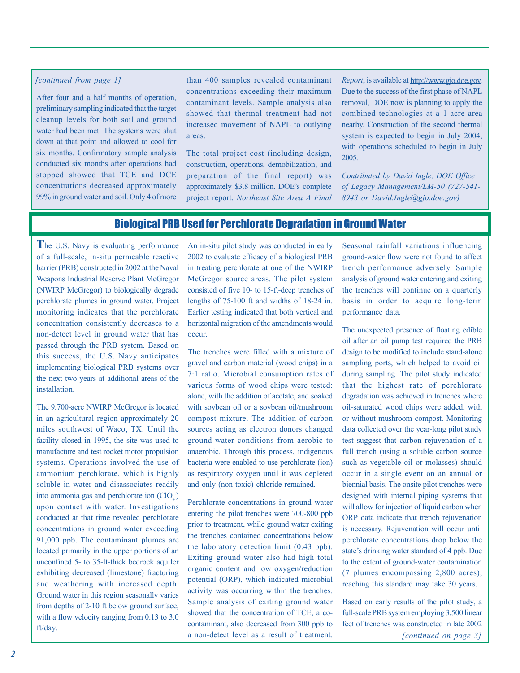#### *[continued from page 1]*

After four and a half months of operation, preliminary sampling indicated that the target cleanup levels for both soil and ground water had been met. The systems were shut down at that point and allowed to cool for six months. Confirmatory sample analysis conducted six months after operations had stopped showed that TCE and DCE concentrations decreased approximately 99% in ground water and soil. Only 4 of more

than 400 samples revealed contaminant concentrations exceeding their maximum contaminant levels. Sample analysis also showed that thermal treatment had not increased movement of NAPL to outlying areas.

The total project cost (including design, construction, operations, demobilization, and preparation of the final report) was approximately \$3.8 million. DOE's complete project report, *Northeast Site Area A Final*  *Report*, is available at http://www.gjo.doe.gov. Due to the success of the first phase of NAPL removal, DOE now is planning to apply the combined technologies at a 1-acre area nearby. Construction of the second thermal system is expected to begin in July 2004, with operations scheduled to begin in July 2005.

*Contributed by David Ingle, DOE Office of Legacy Management/LM-50 (727-541- 8943 or David.Ingle@gjo.doe.gov)* 

### Biological PRB Used for Perchlorate Degradation in Ground Water

**T**he U.S. Navy is evaluating performance of a full-scale, in-situ permeable reactive barrier (PRB) constructed in 2002 at the Naval Weapons Industrial Reserve Plant McGregor (NWIRP McGregor) to biologically degrade perchlorate plumes in ground water. Project monitoring indicates that the perchlorate concentration consistently decreases to a non-detect level in ground water that has passed through the PRB system. Based on this success, the U.S. Navy anticipates implementing biological PRB systems over the next two years at additional areas of the installation.

The 9,700-acre NWIRP McGregor is located in an agricultural region approximately 20 miles southwest of Waco, TX. Until the facility closed in 1995, the site was used to manufacture and test rocket motor propulsion systems. Operations involved the use of ammonium perchlorate, which is highly soluble in water and disassociates readily into ammonia gas and perchlorate ion  $(CIO<sub>4</sub>)$ upon contact with water. Investigations conducted at that time revealed perchlorate concentrations in ground water exceeding 91,000 ppb. The contaminant plumes are located primarily in the upper portions of an unconfined 5- to 35-ft-thick bedrock aquifer exhibiting decreased (limestone) fracturing and weathering with increased depth. Ground water in this region seasonally varies from depths of 2-10 ft below ground surface, with a flow velocity ranging from 0.13 to 3.0 ft/day.

An in-situ pilot study was conducted in early 2002 to evaluate efficacy of a biological PRB in treating perchlorate at one of the NWIRP McGregor source areas. The pilot system consisted of five 10- to 15-ft-deep trenches of lengths of 75-100 ft and widths of 18-24 in. Earlier testing indicated that both vertical and horizontal migration of the amendments would occur.

The trenches were filled with a mixture of gravel and carbon material (wood chips) in a 7:1 ratio. Microbial consumption rates of various forms of wood chips were tested: alone, with the addition of acetate, and soaked with soybean oil or a soybean oil/mushroom compost mixture. The addition of carbon sources acting as electron donors changed ground-water conditions from aerobic to anaerobic. Through this process, indigenous bacteria were enabled to use perchlorate (ion) as respiratory oxygen until it was depleted and only (non-toxic) chloride remained.

Perchlorate concentrations in ground water entering the pilot trenches were 700-800 ppb prior to treatment, while ground water exiting the trenches contained concentrations below the laboratory detection limit (0.43 ppb). Exiting ground water also had high total organic content and low oxygen/reduction potential (ORP), which indicated microbial activity was occurring within the trenches. Sample analysis of exiting ground water showed that the concentration of TCE, a cocontaminant, also decreased from 300 ppb to a non-detect level as a result of treatment.

Seasonal rainfall variations influencing ground-water flow were not found to affect trench performance adversely. Sample analysis of ground water entering and exiting the trenches will continue on a quarterly basis in order to acquire long-term performance data.

The unexpected presence of floating edible oil after an oil pump test required the PRB design to be modified to include stand-alone sampling ports, which helped to avoid oil during sampling. The pilot study indicated that the highest rate of perchlorate degradation was achieved in trenches where oil-saturated wood chips were added, with or without mushroom compost. Monitoring data collected over the year-long pilot study test suggest that carbon rejuvenation of a full trench (using a soluble carbon source such as vegetable oil or molasses) should occur in a single event on an annual or biennial basis. The onsite pilot trenches were designed with internal piping systems that will allow for injection of liquid carbon when ORP data indicate that trench rejuvenation is necessary. Rejuvenation will occur until perchlorate concentrations drop below the state's drinking water standard of 4 ppb. Due to the extent of ground-water contamination (7 plumes encompassing 2,800 acres), reaching this standard may take 30 years.

*[continued on page 3]*  Based on early results of the pilot study, a full-scale PRB system employing 3,500 linear feet of trenches was constructed in late 2002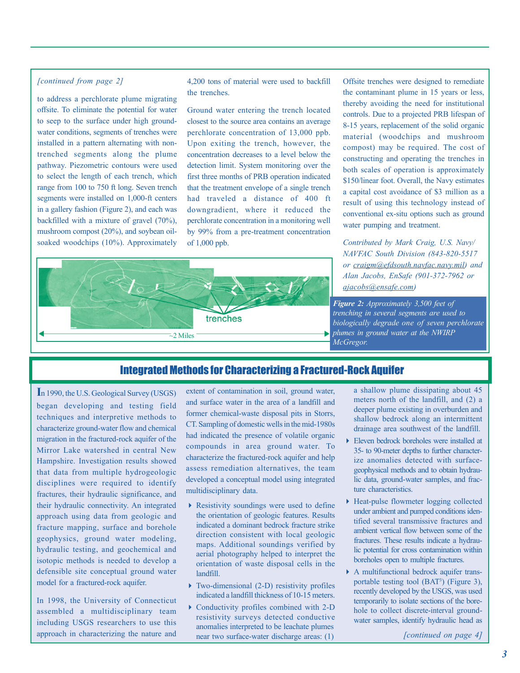#### *[continued from page 2]*

to address a perchlorate plume migrating to seep to the surface under high groundwater conditions, segments of trenches were installed in a pattern alternating with nontrenched segments along the plume to select the length of each trench, which range from 100 to 750 ft long. Seven trench segments were installed on 1,000-ft centers in a gallery fashion (Figure 2), and each was backfilled with a mixture of gravel (70%), mushroom compost (20%), and soybean oiloffsite. To eliminate the potential for water pathway. Piezometric contours were used soaked woodchips (10%). Approximately 4,200 tons of material were used to backfill the trenches.

Ground water entering the trench located closest to the source area contains an average perchlorate concentration of 13,000 ppb. concentration decreases to a level below the detection limit. System monitoring over the first three months of PRB operation indicated that the treatment envelope of a single trench had traveled a distance of 400 ft downgradient, where it reduced the perchlorate concentration in a monitoring well by 99% from a pre-treatment concentration of 1,000 ppb. Upon exiting the trench, however, the



*Contributed by Mark Craig, U.S. Navy/ or craigm@efdsouth.navfac.navy .mil) and Alan Jacobs, EnSafe (901-372-7962 or ajacobs@ensafe.com) NAVFAC South Division (843-820-5517* 



### Integrated Methods for Characterizing a Fractured-Rock Aquifer

~2 Miles

trenches

**I**n 1990, the U.S. Geological Survey (USGS) began developing and testing field techniques and interpretive methods to characterize ground-water flow and chemical migration in the fractured-rock aquifer of the Mirror Lake watershed in central New Hampshire. Investigation results showed that data from multiple hydrogeologic disciplines were required to identify fractures, their hydraulic significance, and approach using data from geologic and fracture mapping, surface and borehole geophysics, ground water modeling, hydraulic testing, and geochemical and isotopic methods is needed to develop a defensible site conceptual ground water their hydraulic connectivity. An integrated model for a fractured-rock aquifer.

In 1998, the University of Connecticut assembled a multidisciplinary team including USGS researchers to use this approach in characterizing the nature and and surface water in the area of a landfill and former chemical-waste disposal pits in Storrs, had indicated the presence of volatile organic characterize the fractured-rock aquifer and help assess remediation alternatives, the team developed a conceptual model using integrated multidisciplinary data. extent of contamination in soil, ground water, CT. Sampling of domestic wells in the mid-1980s compounds in area ground water. To

- $\blacktriangleright$  Resistivity soundings were used to define the orientation of geologic features. Results indicated a dominant bedrock fracture strike direction consistent with local geologic aerial photography helped to interpret the orientation of waste disposal cells in the landfill. maps. Additional soundings verified by
- 4 Two-dimensional (2-D) resistivity profiles indicated a landfill thickness of 10-15 meters.
- ▶ Conductivity profiles combined with 2-D resistivity surveys detected conductive anomalies interpreted to be leachate plumes near two surface-water discharge areas: (1)
- a shallow plume dissipating about 45 meters north of the landfill, and (2) a deeper plume existing in overburden and shallow bedrock along an intermittent drainage area southwest of the landfill.
- 4 Eleven bedrock boreholes were installed at 35- to 90-meter depths to further characterize anomalies detected with surfacegeophysical methods and to obtain hydrauture characteristics. lic data, ground-water samples, and frac-
- 4 Heat-pulse flowmeter logging collected under ambient and pumped conditions identified several transmissive fractures and ambient vertical flow between some of the fractures. These results indicate a hydraulic potential for cross contamination within boreholes open to multiple fractures.
- 4 A multifunctional bedrock aquifer trans portable testing tool (BAT<sup>3</sup>) (Figure 3), recently developed by the USGS, was used temporarily to isolate sections of the borehole to collect discrete-interval groundwater samples, identify hydraulic head as

*[continued on page 4]*